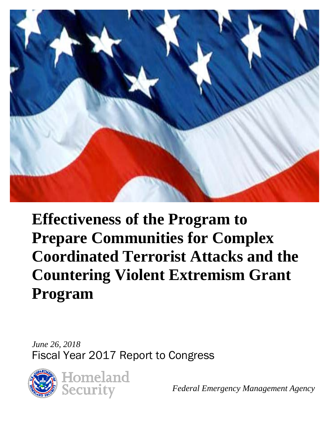

**Effectiveness of the Program to Prepare Communities for Complex Coordinated Terrorist Attacks and the Countering Violent Extremism Grant Program** 

*June 26, 2018*  Fiscal Year 2017 Report to Congress



*Federal Emergency Management Agency*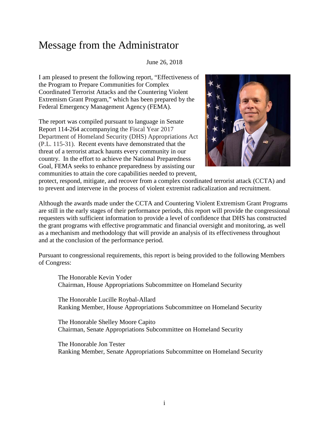## Message from the Administrator

#### June 26, 2018

I am pleased to present the following report, "Effectiveness of the Program to Prepare Communities for Complex Coordinated Terrorist Attacks and the Countering Violent Extremism Grant Program," which has been prepared by the Federal Emergency Management Agency (FEMA).

The report was compiled pursuant to language in Senate Report 114-264 accompanying the Fiscal Year 2017 Department of Homeland Security (DHS) Appropriations Act (P.L. 115-31). Recent events have demonstrated that the threat of a terrorist attack haunts every community in our country. In the effort to achieve the National Preparedness Goal, FEMA seeks to enhance preparedness by assisting our communities to attain the core capabilities needed to prevent,



protect, respond, mitigate, and recover from a complex coordinated terrorist attack (CCTA) and to prevent and intervene in the process of violent extremist radicalization and recruitment.

Although the awards made under the CCTA and Countering Violent Extremism Grant Programs are still in the early stages of their performance periods, this report will provide the congressional requesters with sufficient information to provide a level of confidence that DHS has constructed the grant programs with effective programmatic and financial oversight and monitoring, as well as a mechanism and methodology that will provide an analysis of its effectiveness throughout and at the conclusion of the performance period.

Pursuant to congressional requirements, this report is being provided to the following Members of Congress:

The Honorable Kevin Yoder Chairman, House Appropriations Subcommittee on Homeland Security

The Honorable Lucille Roybal-Allard Ranking Member, House Appropriations Subcommittee on Homeland Security

The Honorable Shelley Moore Capito Chairman, Senate Appropriations Subcommittee on Homeland Security

The Honorable Jon Tester Ranking Member, Senate Appropriations Subcommittee on Homeland Security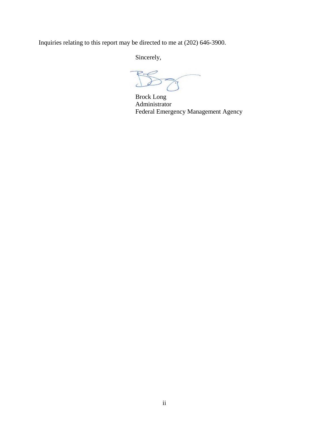Inquiries relating to this report may be directed to me at (202) 646-3900.

Sincerely,

 $\widetilde{\phantom{a}}$ 

Brock Long Administrator Federal Emergency Management Agency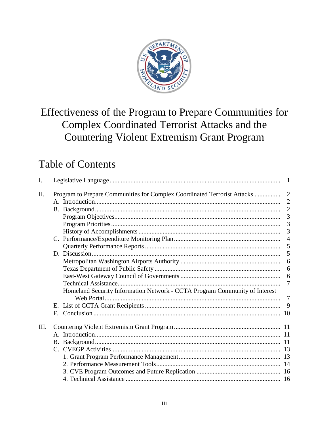

# Effectiveness of the Program to Prepare Communities for Complex Coordinated Terrorist Attacks and the **Countering Violent Extremism Grant Program**

# **Table of Contents**

| I.   |             |                                                                            | $\overline{1}$ |  |  |
|------|-------------|----------------------------------------------------------------------------|----------------|--|--|
| II.  |             | Program to Prepare Communities for Complex Coordinated Terrorist Attacks   | 2              |  |  |
|      |             |                                                                            | $\overline{2}$ |  |  |
|      |             |                                                                            | $\overline{2}$ |  |  |
|      |             |                                                                            | 3              |  |  |
|      |             |                                                                            | 3              |  |  |
|      |             |                                                                            | 3              |  |  |
|      |             |                                                                            | $\overline{4}$ |  |  |
|      |             |                                                                            | 5              |  |  |
|      |             |                                                                            | 5              |  |  |
|      |             |                                                                            | 6              |  |  |
|      |             |                                                                            | 6              |  |  |
|      |             |                                                                            | 6              |  |  |
|      |             |                                                                            | 7              |  |  |
|      |             | Homeland Security Information Network - CCTA Program Community of Interest |                |  |  |
|      |             |                                                                            | $\tau$         |  |  |
|      |             |                                                                            | 9              |  |  |
|      | $F_{\cdot}$ |                                                                            |                |  |  |
| III. |             |                                                                            |                |  |  |
|      |             |                                                                            |                |  |  |
|      |             |                                                                            |                |  |  |
|      |             |                                                                            |                |  |  |
|      |             |                                                                            |                |  |  |
|      |             |                                                                            |                |  |  |
|      |             |                                                                            |                |  |  |
|      |             |                                                                            |                |  |  |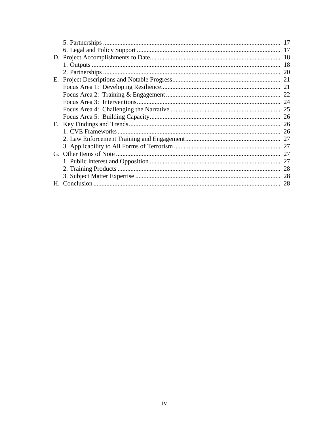|    | 17 |
|----|----|
|    | 17 |
|    |    |
|    |    |
|    | 20 |
| Е. |    |
|    |    |
|    |    |
|    | 24 |
|    |    |
|    |    |
|    | 26 |
|    | 26 |
|    |    |
|    | 27 |
|    | 27 |
|    |    |
|    | 28 |
|    | 28 |
| Н. | 28 |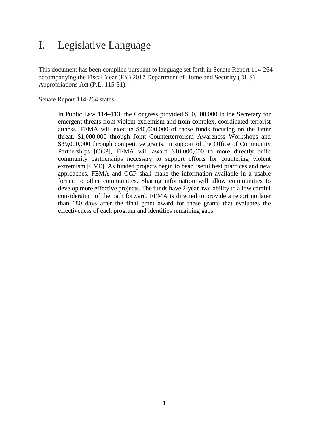## <span id="page-5-0"></span>I. Legislative Language

This document has been compiled pursuant to language set forth in Senate Report 114-264 accompanying the Fiscal Year (FY) 2017 Department of Homeland Security (DHS) Appropriations Act (P.L. 115-31).

Senate Report 114-264 states:

In Public Law 114–113, the Congress provided \$50,000,000 to the Secretary for emergent threats from violent extremism and from complex, coordinated terrorist attacks. FEMA will execute \$40,000,000 of those funds focusing on the latter threat, \$1,000,000 through Joint Counterterrorism Awareness Workshops and \$39,000,000 through competitive grants. In support of the Office of Community Partnerships [OCP], FEMA will award \$10,000,000 to more directly build community partnerships necessary to support efforts for countering violent extremism [CVE]. As funded projects begin to bear useful best practices and new approaches, FEMA and OCP shall make the information available in a usable format to other communities. Sharing information will allow communities to develop more effective projects. The funds have 2-year availability to allow careful consideration of the path forward. FEMA is directed to provide a report no later than 180 days after the final grant award for these grants that evaluates the effectiveness of each program and identifies remaining gaps.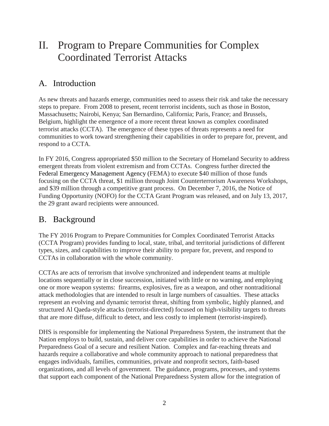# <span id="page-6-0"></span>II. Program to Prepare Communities for Complex Coordinated Terrorist Attacks

## <span id="page-6-1"></span>A. Introduction

As new threats and hazards emerge, communities need to assess their risk and take the necessary steps to prepare. From 2008 to present, recent terrorist incidents, such as those in Boston, Massachusetts; Nairobi, Kenya; San Bernardino, California; Paris, France; and Brussels, Belgium, highlight the emergence of a more recent threat known as complex coordinated terrorist attacks (CCTA). The emergence of these types of threats represents a need for communities to work toward strengthening their capabilities in order to prepare for, prevent, and respond to a CCTA.

In FY 2016, Congress appropriated \$50 million to the Secretary of Homeland Security to address emergent threats from violent extremism and from CCTAs. Congress further directed the Federal Emergency Management Agency (FEMA) to execute \$40 million of those funds focusing on the CCTA threat, \$1 million through Joint Counterterrorism Awareness Workshops, and \$39 million through a competitive grant process. On December 7, 2016, the Notice of Funding Opportunity (NOFO) for the CCTA Grant Program was released, and on July 13, 2017, the 29 grant award recipients were announced.

## <span id="page-6-2"></span>B. Background

The FY 2016 Program to Prepare Communities for Complex Coordinated Terrorist Attacks (CCTA Program) provides funding to local, state, tribal, and territorial jurisdictions of different types, sizes, and capabilities to improve their ability to prepare for, prevent, and respond to CCTAs in collaboration with the whole community.

CCTAs are acts of terrorism that involve synchronized and independent teams at multiple locations sequentially or in close succession, initiated with little or no warning, and employing one or more weapon systems: firearms, explosives, fire as a weapon, and other nontraditional attack methodologies that are intended to result in large numbers of casualties. These attacks represent an evolving and dynamic terrorist threat, shifting from symbolic, highly planned, and structured Al Qaeda-style attacks (terrorist-directed) focused on high-visibility targets to threats that are more diffuse, difficult to detect, and less costly to implement (terrorist-inspired).

DHS is responsible for implementing the National Preparedness System, the instrument that the Nation employs to build, sustain, and deliver core capabilities in order to achieve the National Preparedness Goal of a secure and resilient Nation. Complex and far-reaching threats and hazards require a collaborative and whole community approach to national preparedness that engages individuals, families, communities, private and nonprofit sectors, faith-based organizations, and all levels of government. The guidance, programs, processes, and systems that support each component of the National Preparedness System allow for the integration of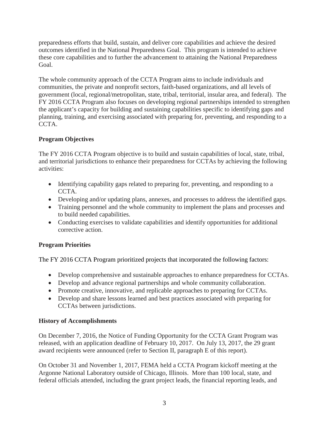preparedness efforts that build, sustain, and deliver core capabilities and achieve the desired outcomes identified in the National Preparedness Goal. This program is intended to achieve these core capabilities and to further the advancement to attaining the National Preparedness Goal.

The whole community approach of the CCTA Program aims to include individuals and communities, the private and nonprofit sectors, faith-based organizations, and all levels of government (local, regional/metropolitan, state, tribal, territorial, insular area, and federal). The FY 2016 CCTA Program also focuses on developing regional partnerships intended to strengthen the applicant's capacity for building and sustaining capabilities specific to identifying gaps and planning, training, and exercising associated with preparing for, preventing, and responding to a CCTA.

#### <span id="page-7-0"></span>**Program Objectives**

The FY 2016 CCTA Program objective is to build and sustain capabilities of local, state, tribal, and territorial jurisdictions to enhance their preparedness for CCTAs by achieving the following activities:

- Identifying capability gaps related to preparing for, preventing, and responding to a CCTA.
- Developing and/or updating plans, annexes, and processes to address the identified gaps.
- Training personnel and the whole community to implement the plans and processes and to build needed capabilities.
- Conducting exercises to validate capabilities and identify opportunities for additional corrective action.

#### <span id="page-7-1"></span>**Program Priorities**

The FY 2016 CCTA Program prioritized projects that incorporated the following factors:

- Develop comprehensive and sustainable approaches to enhance preparedness for CCTAs.
- Develop and advance regional partnerships and whole community collaboration.
- Promote creative, innovative, and replicable approaches to preparing for CCTAs.
- Develop and share lessons learned and best practices associated with preparing for CCTAs between jurisdictions.

#### <span id="page-7-2"></span>**History of Accomplishments**

On December 7, 2016, the Notice of Funding Opportunity for the CCTA Grant Program was released, with an application deadline of February 10, 2017. On July 13, 2017, the 29 grant award recipients were announced (refer to Section II, paragraph E of this report).

On October 31 and November 1, 2017, FEMA held a CCTA Program kickoff meeting at the Argonne National Laboratory outside of Chicago, Illinois. More than 100 local, state, and federal officials attended, including the grant project leads, the financial reporting leads, and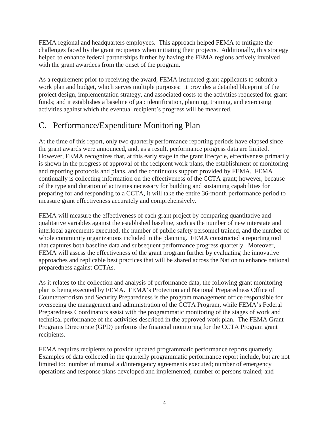FEMA regional and headquarters employees. This approach helped FEMA to mitigate the challenges faced by the grant recipients when initiating their projects. Additionally, this strategy helped to enhance federal partnerships further by having the FEMA regions actively involved with the grant awardees from the onset of the program.

As a requirement prior to receiving the award, FEMA instructed grant applicants to submit a work plan and budget, which serves multiple purposes: it provides a detailed blueprint of the project design, implementation strategy, and associated costs to the activities requested for grant funds; and it establishes a baseline of gap identification, planning, training, and exercising activities against which the eventual recipient's progress will be measured.

## <span id="page-8-0"></span>C. Performance/Expenditure Monitoring Plan

At the time of this report, only two quarterly performance reporting periods have elapsed since the grant awards were announced, and, as a result, performance progress data are limited. However, FEMA recognizes that, at this early stage in the grant lifecycle, effectiveness primarily is shown in the progress of approval of the recipient work plans, the establishment of monitoring and reporting protocols and plans, and the continuous support provided by FEMA. FEMA continually is collecting information on the effectiveness of the CCTA grant; however, because of the type and duration of activities necessary for building and sustaining capabilities for preparing for and responding to a CCTA, it will take the entire 36-month performance period to measure grant effectiveness accurately and comprehensively.

FEMA will measure the effectiveness of each grant project by comparing quantitative and qualitative variables against the established baseline, such as the number of new interstate and interlocal agreements executed, the number of public safety personnel trained, and the number of whole community organizations included in the planning. FEMA constructed a reporting tool that captures both baseline data and subsequent performance progress quarterly. Moreover, FEMA will assess the effectiveness of the grant program further by evaluating the innovative approaches and replicable best practices that will be shared across the Nation to enhance national preparedness against CCTAs.

As it relates to the collection and analysis of performance data, the following grant monitoring plan is being executed by FEMA. FEMA's Protection and National Preparedness Office of Counterterrorism and Security Preparedness is the program management office responsible for overseeing the management and administration of the CCTA Program, while FEMA's Federal Preparedness Coordinators assist with the programmatic monitoring of the stages of work and technical performance of the activities described in the approved work plan. The FEMA Grant Programs Directorate (GPD) performs the financial monitoring for the CCTA Program grant recipients.

FEMA requires recipients to provide updated programmatic performance reports quarterly. Examples of data collected in the quarterly programmatic performance report include, but are not limited to: number of mutual aid/interagency agreements executed; number of emergency operations and response plans developed and implemented; number of persons trained; and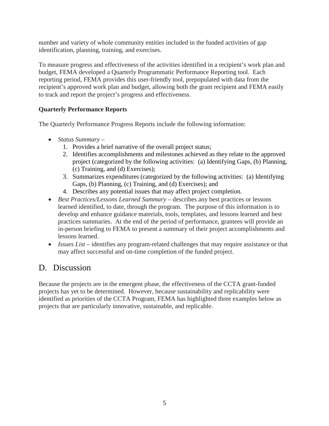number and variety of whole community entities included in the funded activities of gap identification, planning, training, and exercises.

To measure progress and effectiveness of the activities identified in a recipient's work plan and budget, FEMA developed a Quarterly Programmatic Performance Reporting tool. Each reporting period, FEMA provides this user-friendly tool, prepopulated with data from the recipient's approved work plan and budget, allowing both the grant recipient and FEMA easily to track and report the project's progress and effectiveness.

#### <span id="page-9-0"></span>**Quarterly Performance Reports**

The Quarterly Performance Progress Reports include the following information:

- *Status Summary*
	- 1. Provides a brief narrative of the overall project status;
	- 2. Identifies accomplishments and milestones achieved as they relate to the approved project (categorized by the following activities: (a) Identifying Gaps, (b) Planning, (c) Training, and (d) Exercises);
	- 3. Summarizes expenditures (categorized by the following activities: (a) Identifying Gaps, (b) Planning, (c) Training, and (d) Exercises); and
	- 4. Describes any potential issues that may affect project completion.
- *Best Practices/Lessons Learned Summary* describes any best practices or lessons learned identified, to date, through the program. The purpose of this information is to develop and enhance guidance materials, tools, templates, and lessons learned and best practices summaries. At the end of the period of performance, grantees will provide an in-person briefing to FEMA to present a summary of their project accomplishments and lessons learned.
- *Issues List* identifies any program-related challenges that may require assistance or that may affect successful and on-time completion of the funded project.

## <span id="page-9-1"></span>D. Discussion

Because the projects are in the emergent phase, the effectiveness of the CCTA grant-funded projects has yet to be determined. However, because sustainability and replicability were identified as priorities of the CCTA Program, FEMA has highlighted three examples below as projects that are particularly innovative, sustainable, and replicable.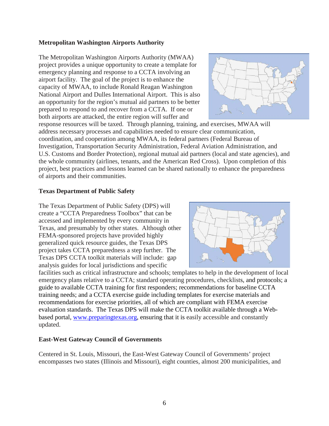#### <span id="page-10-0"></span>**Metropolitan Washington Airports Authority**

The Metropolitan Washington Airports Authority (MWAA) project provides a unique opportunity to create a template for emergency planning and response to a CCTA involving an airport facility. The goal of the project is to enhance the capacity of MWAA, to include Ronald Reagan Washington National Airport and Dulles International Airport. This is also an opportunity for the region's mutual aid partners to be better prepared to respond to and recover from a CCTA. If one or both airports are attacked, the entire region will suffer and



response resources will be taxed. Through planning, training, and exercises, MWAA will address necessary processes and capabilities needed to ensure clear communication, coordination, and cooperation among MWAA, its federal partners (Federal Bureau of Investigation, Transportation Security Administration, Federal Aviation Administration, and U.S. Customs and Border Protection), regional mutual aid partners (local and state agencies), and the whole community (airlines, tenants, and the American Red Cross). Upon completion of this project, best practices and lessons learned can be shared nationally to enhance the preparedness of airports and their communities.

#### <span id="page-10-1"></span>**Texas Department of Public Safety**

The Texas Department of Public Safety (DPS) will create a "CCTA Preparedness Toolbox" that can be accessed and implemented by every community in Texas, and presumably by other states. Although other FEMA-sponsored projects have provided highly generalized quick resource guides, the Texas DPS project takes CCTA preparedness a step further. The Texas DPS CCTA toolkit materials will include: gap analysis guides for local jurisdictions and specific



facilities such as critical infrastructure and schools; templates to help in the development of local emergency plans relative to a CCTA; standard operating procedures, checklists, and protocols; a guide to available CCTA training for first responders; recommendations for baseline CCTA training needs; and a CCTA exercise guide including templates for exercise materials and recommendations for exercise priorities, all of which are compliant with FEMA exercise evaluation standards. The Texas DPS will make the CCTA toolkit available through a Webbased portal, [www.preparingtexas.org,](http://www.preparingtexas.org/) ensuring that it is easily accessible and constantly updated.

#### <span id="page-10-2"></span>**East-West Gateway Council of Governments**

Centered in St. Louis, Missouri, the East-West Gateway Council of Governments' project encompasses two states (Illinois and Missouri), eight counties, almost 200 municipalities, and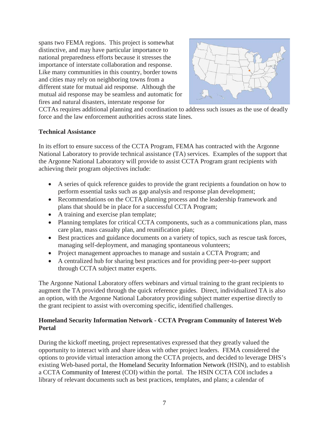spans two FEMA regions. This project is somewhat distinctive, and may have particular importance to national preparedness efforts because it stresses the importance of interstate collaboration and response. Like many communities in this country, border towns and cities may rely on neighboring towns from a different state for mutual aid response. Although the mutual aid response may be seamless and automatic for fires and natural disasters, interstate response for



CCTAs requires additional planning and coordination to address such issues as the use of deadly force and the law enforcement authorities across state lines.

#### <span id="page-11-0"></span>**Technical Assistance**

In its effort to ensure success of the CCTA Program, FEMA has contracted with the Argonne National Laboratory to provide technical assistance (TA) services. Examples of the support that the Argonne National Laboratory will provide to assist CCTA Program grant recipients with achieving their program objectives include:

- A series of quick reference guides to provide the grant recipients a foundation on how to perform essential tasks such as gap analysis and response plan development;
- Recommendations on the CCTA planning process and the leadership framework and plans that should be in place for a successful CCTA Program;
- A training and exercise plan template;
- Planning templates for critical CCTA components, such as a communications plan, mass care plan, mass casualty plan, and reunification plan;
- Best practices and guidance documents on a variety of topics, such as rescue task forces, managing self-deployment, and managing spontaneous volunteers;
- Project management approaches to manage and sustain a CCTA Program; and
- A centralized hub for sharing best practices and for providing peer-to-peer support through CCTA subject matter experts.

The Argonne National Laboratory offers webinars and virtual training to the grant recipients to augment the TA provided through the quick reference guides. Direct, individualized TA is also an option, with the Argonne National Laboratory providing subject matter expertise directly to the grant recipient to assist with overcoming specific, identified challenges.

#### <span id="page-11-1"></span>**Homeland Security Information Network - CCTA Program Community of Interest Web Portal**

During the kickoff meeting, project representatives expressed that they greatly valued the opportunity to interact with and share ideas with other project leaders. FEMA considered the options to provide virtual interaction among the CCTA projects, and decided to leverage DHS's existing Web-based portal, the Homeland Security Information Network (HSIN), and to establish a CCTA Community of Interest (COI) within the portal. The HSIN CCTA COI includes a library of relevant documents such as best practices, templates, and plans; a calendar of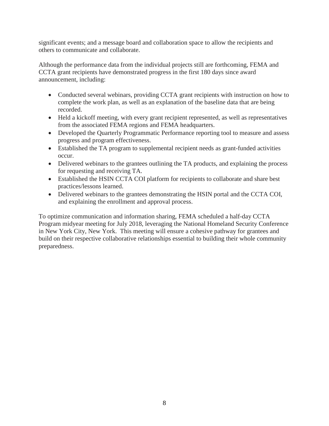significant events; and a message board and collaboration space to allow the recipients and others to communicate and collaborate.

Although the performance data from the individual projects still are forthcoming, FEMA and CCTA grant recipients have demonstrated progress in the first 180 days since award announcement, including:

- Conducted several webinars, providing CCTA grant recipients with instruction on how to complete the work plan, as well as an explanation of the baseline data that are being recorded.
- Held a kickoff meeting, with every grant recipient represented, as well as representatives from the associated FEMA regions and FEMA headquarters.
- Developed the Quarterly Programmatic Performance reporting tool to measure and assess progress and program effectiveness.
- Established the TA program to supplemental recipient needs as grant-funded activities occur.
- Delivered webinars to the grantees outlining the TA products, and explaining the process for requesting and receiving TA.
- Established the HSIN CCTA COI platform for recipients to collaborate and share best practices/lessons learned.
- Delivered webinars to the grantees demonstrating the HSIN portal and the CCTA COI, and explaining the enrollment and approval process.

To optimize communication and information sharing, FEMA scheduled a half-day CCTA Program midyear meeting for July 2018, leveraging the National Homeland Security Conference in New York City, New York. This meeting will ensure a cohesive pathway for grantees and build on their respective collaborative relationships essential to building their whole community preparedness.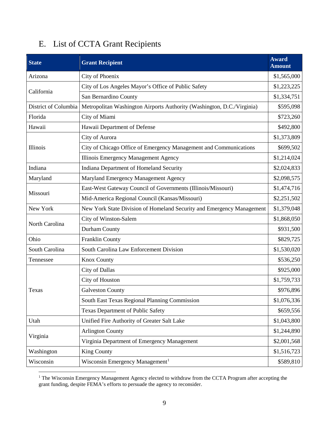## <span id="page-13-0"></span>E. List of CCTA Grant Recipients

| <b>State</b>         | <b>Grant Recipient</b>                                                 | <b>Award</b><br><b>Amount</b> |
|----------------------|------------------------------------------------------------------------|-------------------------------|
| Arizona              | City of Phoenix                                                        | \$1,565,000                   |
| California           | City of Los Angeles Mayor's Office of Public Safety                    |                               |
|                      | San Bernardino County                                                  | \$1,334,751                   |
| District of Columbia | Metropolitan Washington Airports Authority (Washington, D.C./Virginia) | \$595,098                     |
| Florida              | City of Miami                                                          | \$723,260                     |
| Hawaii               | Hawaii Department of Defense                                           | \$492,800                     |
|                      | City of Aurora                                                         | \$1,373,809                   |
| Illinois             | City of Chicago Office of Emergency Management and Communications      | \$699,502                     |
|                      | Illinois Emergency Management Agency                                   | \$1,214,024                   |
| Indiana              | Indiana Department of Homeland Security                                | \$2,024,833                   |
| Maryland             | Maryland Emergency Management Agency                                   | \$2,098,575                   |
|                      | East-West Gateway Council of Governments (Illinois/Missouri)           | \$1,474,716                   |
| Missouri             | Mid-America Regional Council (Kansas/Missouri)                         | \$2,251,502                   |
| New York             | New York State Division of Homeland Security and Emergency Management  | \$1,379,048                   |
|                      | City of Winston-Salem                                                  | \$1,868,050                   |
| North Carolina       | Durham County                                                          | \$931,500                     |
| Ohio                 | Franklin County                                                        | \$829,725                     |
| South Carolina       | South Carolina Law Enforcement Division                                | \$1,530,020                   |
| Tennessee            | <b>Knox County</b>                                                     | \$536,250                     |
|                      | <b>City of Dallas</b>                                                  | \$925,000                     |
|                      | City of Houston                                                        | \$1,759,733                   |
| Texas                | <b>Galveston County</b>                                                | \$976,896                     |
|                      | South East Texas Regional Planning Commission                          | \$1,076,336                   |
|                      | <b>Texas Department of Public Safety</b>                               | \$659,556                     |
| Utah                 | Unified Fire Authority of Greater Salt Lake                            | \$1,043,800                   |
|                      | <b>Arlington County</b>                                                | \$1,244,890                   |
| Virginia             | Virginia Department of Emergency Management                            | \$2,001,568                   |
| Washington           | <b>King County</b>                                                     | \$1,516,723                   |
| Wisconsin            | Wisconsin Emergency Management <sup>1</sup>                            | \$589,810                     |

<span id="page-13-1"></span> $\overline{a}$ <sup>1</sup> The Wisconsin Emergency Management Agency elected to withdraw from the CCTA Program after accepting the grant funding, despite FEMA's efforts to persuade the agency to reconsider.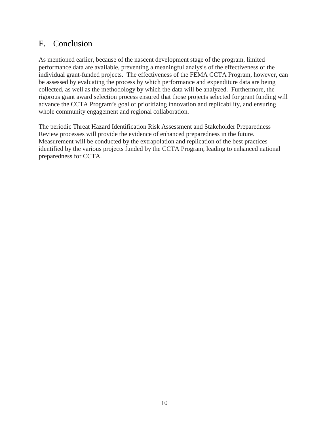## <span id="page-14-0"></span>F. Conclusion

As mentioned earlier, because of the nascent development stage of the program, limited performance data are available, preventing a meaningful analysis of the effectiveness of the individual grant-funded projects. The effectiveness of the FEMA CCTA Program, however, can be assessed by evaluating the process by which performance and expenditure data are being collected, as well as the methodology by which the data will be analyzed. Furthermore, the rigorous grant award selection process ensured that those projects selected for grant funding will advance the CCTA Program's goal of prioritizing innovation and replicability, and ensuring whole community engagement and regional collaboration.

The periodic Threat Hazard Identification Risk Assessment and Stakeholder Preparedness Review processes will provide the evidence of enhanced preparedness in the future. Measurement will be conducted by the extrapolation and replication of the best practices identified by the various projects funded by the CCTA Program, leading to enhanced national preparedness for CCTA.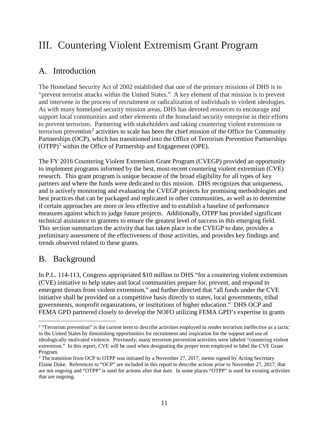# <span id="page-15-0"></span>III. Countering Violent Extremism Grant Program

## <span id="page-15-1"></span>A. Introduction

The Homeland Security Act of 2002 established that one of the primary missions of DHS is to "prevent terrorist attacks within the United States." A key element of that mission is to prevent and intervene in the process of recruitment or radicalization of individuals to violent ideologies. As with many homeland security mission areas, DHS has devoted resources to encourage and support local communities and other elements of the homeland security enterprise in their efforts to prevent terrorism. Partnering with stakeholders and taking countering violent extremism or terrorism prevention<sup>[2](#page-15-3)</sup> activities to scale has been the chief mission of the Office for Community Partnerships (OCP), which has transitioned into the Office of Terrorism Prevention Partnerships (OTPP)<sup>[3](#page-15-4)</sup> within the Office of Partnership and Engagement (OPE).

The FY 2016 Countering Violent Extremism Grant Program (CVEGP) provided an opportunity to implement programs informed by the best, most-recent countering violent extremism (CVE) research. This grant program is unique because of the broad eligibility for all types of key partners and where the funds were dedicated to this mission. DHS recognizes that uniqueness, and is actively monitoring and evaluating the CVEGP projects for promising methodologies and best practices that can be packaged and replicated in other communities, as well as to determine if certain approaches are more or less effective and to establish a baseline of performance measures against which to judge future projects. Additionally, OTPP has provided significant technical assistance to grantees to ensure the greatest level of success in this emerging field. This section summarizes the activity that has taken place in the CVEGP to date, provides a preliminary assessment of the effectiveness of those activities, and provides key findings and trends observed related to these grants.

## <span id="page-15-2"></span>B. Background

In P.L. 114-113, Congress appropriated \$10 million to DHS "for a countering violent extremism (CVE) initiative to help states and local communities prepare for, prevent, and respond to emergent threats from violent extremism," and further directed that "all funds under the CVE initiative shall be provided on a competitive basis directly to states, local governments, tribal governments, nonprofit organizations, or institutions of higher education." DHS OCP and FEMA GPD partnered closely to develop the NOFO utilizing FEMA GPD's expertise in grants

<span id="page-15-3"></span> $\overline{a}$ <sup>2</sup> "Terrorism prevention" is the current term to describe activities employed to render terrorism ineffective as a tactic in the United States by diminishing opportunities for recruitment and inspiration for the support and use of ideologically motivated violence. Previously, many terrorism prevention activities were labeled "countering violent extremism." In this report, CVE will be used when designating the proper term employed to label the CVE Grant Program.

<span id="page-15-4"></span><sup>&</sup>lt;sup>3</sup> The transition from OCP to OTPP was initiated by a November 27, 2017, memo signed by Acting Secretary Elaine Duke. References to "OCP" are included in this report to describe actions prior to November 27, 2017, that are not ongoing and "OTPP" is used for actions after that date. In some places "OTPP" is used for existing activities that are ongoing.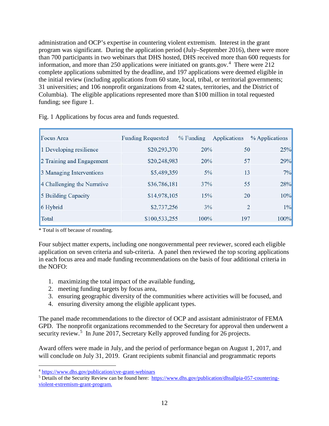administration and OCP's expertise in countering violent extremism. Interest in the grant program was significant. During the application period (July–September 2016), there were more than 700 participants in two webinars that DHS hosted, DHS received more than 600 requests for information, and more than 250 applications were initiated on grants.gov.<sup>[4](#page-16-0)</sup> There were 212 complete applications submitted by the deadline, and 197 applications were deemed eligible in the initial review (including applications from 60 state, local, tribal, or territorial governments; 31 universities; and 106 nonprofit organizations from 42 states, territories, and the District of Columbia). The eligible applications represented more than \$100 million in total requested funding; see figure 1.

| <b>Focus Area</b>           | <b>Funding Requested</b> | $%$ Funding | Applications   | % Applications |
|-----------------------------|--------------------------|-------------|----------------|----------------|
| 1 Developing resilience     | \$20,293,370             | 20%         | 50             | 25%            |
| 2 Training and Engagement   | \$20,248,983             | 20%         | 57             | 29%            |
| 3 Managing Interventions    | \$5,489,359              | 5%          | 13             | 7%             |
| 4 Challenging the Narrative | \$36,786,181             | 37%         | 55             | 28%            |
| 5 Building Capacity         | \$14,978,105             | 15%         | 20             | 10%            |
| 6 Hybrid                    | \$2,737,256              | 3%          | $\overline{2}$ | 1%             |
| Total                       | \$100,533,255            | 100%        | 197            | 100%           |

Fig. 1 Applications by focus area and funds requested.

\* Total is off because of rounding.

Four subject matter experts, including one nongovernmental peer reviewer, scored each eligible application on seven criteria and sub-criteria. A panel then reviewed the top scoring applications in each focus area and made funding recommendations on the basis of four additional criteria in the NOFO:

- 1. maximizing the total impact of the available funding,
- 2. meeting funding targets by focus area,
- 3. ensuring geographic diversity of the communities where activities will be focused, and
- 4. ensuring diversity among the eligible applicant types.

The panel made recommendations to the director of OCP and assistant administrator of FEMA GPD. The nonprofit organizations recommended to the Secretary for approval then underwent a security review.<sup>[5](#page-16-1)</sup> In June 2017, Secretary Kelly approved funding for 26 projects.

Award offers were made in July, and the period of performance began on August 1, 2017, and will conclude on July 31, 2019. Grant recipients submit financial and programmatic reports

<span id="page-16-0"></span><sup>&</sup>lt;sup>4</sup> https://www.dhs.gov/publication/cve-grant-webinars

<span id="page-16-1"></span> $5$  Details of the Security Review can be found here: [https://www.dhs.gov/publication/dhsallpia-057-countering](https://www.dhs.gov/publication/dhsallpia-057-countering-violent-extremism-grant-program)[violent-extremism-grant-program.](https://www.dhs.gov/publication/dhsallpia-057-countering-violent-extremism-grant-program)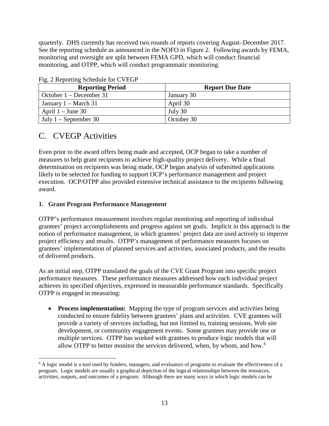quarterly. DHS currently has received two rounds of reports covering August–December 2017. See the reporting schedule as announced in the NOFO in Figure 2. Following awards by FEMA, monitoring and oversight are split between FEMA GPD, which will conduct financial monitoring, and OTPP, which will conduct programmatic monitoring.

| $\frac{1}{2}$ $\frac{1}{2}$ $\frac{1}{2}$ $\frac{1}{2}$ $\frac{1}{2}$ $\frac{1}{2}$ $\frac{1}{2}$ $\frac{1}{2}$ $\frac{1}{2}$ $\frac{1}{2}$ $\frac{1}{2}$ $\frac{1}{2}$ $\frac{1}{2}$ $\frac{1}{2}$ $\frac{1}{2}$ $\frac{1}{2}$ $\frac{1}{2}$ $\frac{1}{2}$ $\frac{1}{2}$ $\frac{1}{2}$ $\frac{1}{2}$ $\frac{1}{2}$<br><b>Reporting Period</b> | <b>Report Due Date</b> |
|------------------------------------------------------------------------------------------------------------------------------------------------------------------------------------------------------------------------------------------------------------------------------------------------------------------------------------------------|------------------------|
| October $1 -$ December 31                                                                                                                                                                                                                                                                                                                      | January 30             |
| January $1 - March 31$                                                                                                                                                                                                                                                                                                                         | April 30               |
| April $1 -$ June 30                                                                                                                                                                                                                                                                                                                            | July 30                |
| July $1 -$ September 30                                                                                                                                                                                                                                                                                                                        | October 30             |

Fig. 2 Reporting Schedule for CVEGP

## <span id="page-17-0"></span>C. CVEGP Activities

Even prior to the award offers being made and accepted, OCP began to take a number of measures to help grant recipients to achieve high-quality project delivery. While a final determination on recipients was being made, OCP began analysis of submitted applications likely to be selected for funding to support OCP's performance management and project execution. OCP/OTPP also provided extensive technical assistance to the recipients following award.

#### <span id="page-17-1"></span>**1. Grant Program Performance Management**

OTPP's performance measurement involves regular monitoring and reporting of individual grantees' project accomplishments and progress against set goals. Implicit in this approach is the notion of performance management, in which grantees' project data are used actively to improve project efficiency and results. OTPP's management of performance measures focuses on grantees' implementation of planned services and activities, associated products, and the results of delivered products.

As an initial step, OTPP translated the goals of the CVE Grant Program into specific project performance measures. These performance measures addressed how each individual project achieves its specified objectives, expressed in measurable performance standards. Specifically OTPP is engaged in measuring:

• **Process implementation:** Mapping the type of program services and activities being conducted to ensure fidelity between grantees' plans and activities. CVE grantees will provide a variety of services including, but not limited to, training sessions, Web site development, or community engagement events. Some grantees may provide one or multiple services. OTPP has worked with grantees to produce logic models that will allow OTPP to better monitor the services delivered, when, by whom, and how.<sup>[6](#page-17-2)</sup>

<span id="page-17-2"></span> $\overline{a}$ <sup>6</sup> A logic model is a tool used by funders, managers, and evaluators of programs to evaluate the effectiveness of a program. Logic models are usually a graphical depiction of the logical relationships between the resources, activities, outputs, and outcomes of a program. Although there are many ways in which logic models can be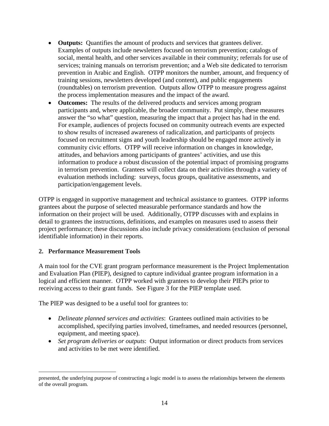- **Outputs:** Quantifies the amount of products and services that grantees deliver. Examples of outputs include newsletters focused on terrorism prevention; catalogs of social, mental health, and other services available in their community; referrals for use of services; training manuals on terrorism prevention; and a Web site dedicated to terrorism prevention in Arabic and English. OTPP monitors the number, amount, and frequency of training sessions, newsletters developed (and content), and public engagements (roundtables) on terrorism prevention. Outputs allow OTPP to measure progress against the process implementation measures and the impact of the award.
- **Outcomes:** The results of the delivered products and services among program participants and, where applicable, the broader community. Put simply, these measures answer the "so what" question, measuring the impact that a project has had in the end. For example, audiences of projects focused on community outreach events are expected to show results of increased awareness of radicalization, and participants of projects focused on recruitment signs and youth leadership should be engaged more actively in community civic efforts. OTPP will receive information on changes in knowledge, attitudes, and behaviors among participants of grantees' activities, and use this information to produce a robust discussion of the potential impact of promising programs in terrorism prevention. Grantees will collect data on their activities through a variety of evaluation methods including: surveys, focus groups, qualitative assessments, and participation/engagement levels.

OTPP is engaged in supportive management and technical assistance to grantees. OTPP informs grantees about the purpose of selected measurable performance standards and how the information on their project will be used. Additionally, OTPP discusses with and explains in detail to grantees the instructions, definitions, and examples on measures used to assess their project performance; these discussions also include privacy considerations (exclusion of personal identifiable information) in their reports.

#### <span id="page-18-0"></span>**2. Performance Measurement Tools**

A main tool for the CVE grant program performance measurement is the Project Implementation and Evaluation Plan (PIEP), designed to capture individual grantee program information in a logical and efficient manner. OTPP worked with grantees to develop their PIEPs prior to receiving access to their grant funds. See Figure 3 for the PIEP template used.

The PIEP was designed to be a useful tool for grantees to:

- *Delineate planned services and activities*: Grantees outlined main activities to be accomplished, specifying parties involved, timeframes, and needed resources (personnel, equipment, and meeting space).
- *Set program deliveries or outputs*: Output information or direct products from services and activities to be met were identified.

 $\overline{a}$ presented, the underlying purpose of constructing a logic model is to assess the relationships between the elements of the overall program.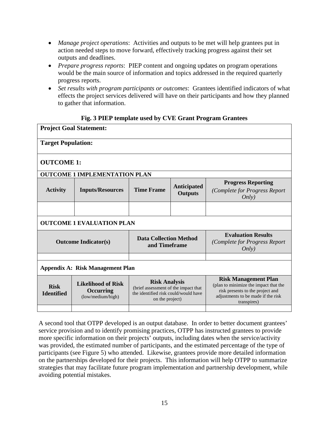- *Manage project operations*: Activities and outputs to be met will help grantees put in action needed steps to move forward, effectively tracking progress against their set outputs and deadlines.
- *Prepare progress reports*: PIEP content and ongoing updates on program operations would be the main source of information and topics addressed in the required quarterly progress reports.
- *Set results with program participants or outcomes*: Grantees identified indicators of what effects the project services delivered will have on their participants and how they planned to gather that information.

#### **Fig. 3 PIEP template used by CVE Grant Program Grantees**

| <b>Project Goal Statement:</b>                                                                                                                                                                                             |                                      |                                                                                                                                                               |                               |                                                                     |  |
|----------------------------------------------------------------------------------------------------------------------------------------------------------------------------------------------------------------------------|--------------------------------------|---------------------------------------------------------------------------------------------------------------------------------------------------------------|-------------------------------|---------------------------------------------------------------------|--|
| <b>Target Population:</b>                                                                                                                                                                                                  |                                      |                                                                                                                                                               |                               |                                                                     |  |
| <b>OUTCOME 1:</b>                                                                                                                                                                                                          |                                      |                                                                                                                                                               |                               |                                                                     |  |
|                                                                                                                                                                                                                            | <b>OUTCOME 1 IMPLEMENTATION PLAN</b> |                                                                                                                                                               |                               |                                                                     |  |
| <b>Activity</b>                                                                                                                                                                                                            | <b>Inputs/Resources</b>              | <b>Time Frame</b>                                                                                                                                             | Anticipated<br><b>Outputs</b> | <b>Progress Reporting</b><br>(Complete for Progress Report<br>Only) |  |
|                                                                                                                                                                                                                            |                                      |                                                                                                                                                               |                               |                                                                     |  |
| <b>OUTCOME 1 EVALUATION PLAN</b>                                                                                                                                                                                           |                                      |                                                                                                                                                               |                               |                                                                     |  |
|                                                                                                                                                                                                                            | <b>Outcome Indicator(s)</b>          | <b>Data Collection Method</b><br>and Timeframe                                                                                                                |                               | <b>Evaluation Results</b><br>(Complete for Progress Report<br>Only) |  |
|                                                                                                                                                                                                                            |                                      |                                                                                                                                                               |                               |                                                                     |  |
| Appendix A: Risk Management Plan                                                                                                                                                                                           |                                      |                                                                                                                                                               |                               |                                                                     |  |
| <b>Risk Analysis</b><br><b>Likelihood of Risk</b><br><b>Risk</b><br>(brief assessment of the impact that<br>Occurring<br><b>Identified</b><br>the identified risk could/would have<br>(low/medium/high)<br>on the project) |                                      | <b>Risk Management Plan</b><br>(plan to minimize the impact that the<br>risk presents to the project and<br>adjustments to be made if the risk<br>transpires) |                               |                                                                     |  |
|                                                                                                                                                                                                                            |                                      |                                                                                                                                                               |                               |                                                                     |  |

A second tool that OTPP developed is an output database. In order to better document grantees' service provision and to identify promising practices, OTPP has instructed grantees to provide more specific information on their projects' outputs, including dates when the service/activity was provided, the estimated number of participants, and the estimated percentage of the type of participants (see Figure 5) who attended. Likewise, grantees provide more detailed information on the partnerships developed for their projects. This information will help OTPP to summarize strategies that may facilitate future program implementation and partnership development, while avoiding potential mistakes.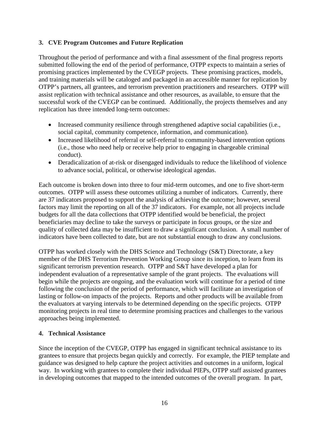#### <span id="page-20-0"></span>**3. CVE Program Outcomes and Future Replication**

Throughout the period of performance and with a final assessment of the final progress reports submitted following the end of the period of performance, OTPP expects to maintain a series of promising practices implemented by the CVEGP projects. These promising practices, models, and training materials will be cataloged and packaged in an accessible manner for replication by OTPP's partners, all grantees, and terrorism prevention practitioners and researchers. OTPP will assist replication with technical assistance and other resources, as available, to ensure that the successful work of the CVEGP can be continued. Additionally, the projects themselves and any replication has three intended long-term outcomes:

- Increased community resilience through strengthened adaptive social capabilities (i.e., social capital, community competence, information, and communication).
- Increased likelihood of referral or self-referral to community-based intervention options (i.e., those who need help or receive help prior to engaging in chargeable criminal conduct).
- Deradicalization of at-risk or disengaged individuals to reduce the likelihood of violence to advance social, political, or otherwise ideological agendas.

Each outcome is broken down into three to four mid-term outcomes, and one to five short-term outcomes. OTPP will assess these outcomes utilizing a number of indicators. Currently, there are 37 indicators proposed to support the analysis of achieving the outcome; however, several factors may limit the reporting on all of the 37 indicators. For example, not all projects include budgets for all the data collections that OTPP identified would be beneficial, the project beneficiaries may decline to take the surveys or participate in focus groups, or the size and quality of collected data may be insufficient to draw a significant conclusion. A small number of indicators have been collected to date, but are not substantial enough to draw any conclusions.

OTPP has worked closely with the DHS Science and Technology (S&T) Directorate, a key member of the DHS Terrorism Prevention Working Group since its inception, to learn from its significant terrorism prevention research. OTPP and S&T have developed a plan for independent evaluation of a representative sample of the grant projects. The evaluations will begin while the projects are ongoing, and the evaluation work will continue for a period of time following the conclusion of the period of performance, which will facilitate an investigation of lasting or follow-on impacts of the projects. Reports and other products will be available from the evaluators at varying intervals to be determined depending on the specific projects. OTPP monitoring projects in real time to determine promising practices and challenges to the various approaches being implemented.

#### <span id="page-20-1"></span>**4. Technical Assistance**

Since the inception of the CVEGP, OTPP has engaged in significant technical assistance to its grantees to ensure that projects began quickly and correctly. For example, the PIEP template and guidance was designed to help capture the project activities and outcomes in a uniform, logical way. In working with grantees to complete their individual PIEPs, OTPP staff assisted grantees in developing outcomes that mapped to the intended outcomes of the overall program. In part,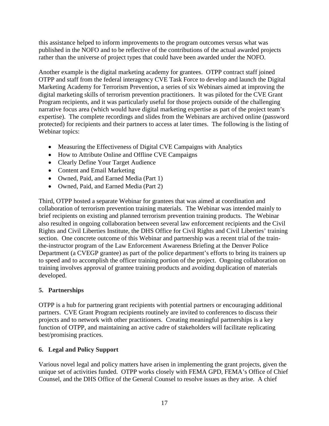this assistance helped to inform improvements to the program outcomes versus what was published in the NOFO and to be reflective of the contributions of the actual awarded projects rather than the universe of project types that could have been awarded under the NOFO.

Another example is the digital marketing academy for grantees. OTPP contract staff joined OTPP and staff from the federal interagency CVE Task Force to develop and launch the Digital Marketing Academy for Terrorism Prevention, a series of six Webinars aimed at improving the digital marketing skills of terrorism prevention practitioners. It was piloted for the CVE Grant Program recipients, and it was particularly useful for those projects outside of the challenging narrative focus area (which would have digital marketing expertise as part of the project team's expertise). The complete recordings and slides from the Webinars are archived online (password protected) for recipients and their partners to access at later times. The following is the listing of Webinar topics:

- Measuring the Effectiveness of Digital CVE Campaigns with Analytics
- How to Attribute Online and Offline CVE Campaigns
- Clearly Define Your Target Audience
- Content and Email Marketing
- Owned, Paid, and Earned Media (Part 1)
- Owned, Paid, and Earned Media (Part 2)

Third, OTPP hosted a separate Webinar for grantees that was aimed at coordination and collaboration of terrorism prevention training materials. The Webinar was intended mainly to brief recipients on existing and planned terrorism prevention training products. The Webinar also resulted in ongoing collaboration between several law enforcement recipients and the Civil Rights and Civil Liberties Institute, the DHS Office for Civil Rights and Civil Liberties' training section. One concrete outcome of this Webinar and partnership was a recent trial of the trainthe-instructor program of the Law Enforcement Awareness Briefing at the Denver Police Department (a CVEGP grantee) as part of the police department's efforts to bring its trainers up to speed and to accomplish the officer training portion of the project. Ongoing collaboration on training involves approval of grantee training products and avoiding duplication of materials developed.

#### <span id="page-21-0"></span>**5. Partnerships**

OTPP is a hub for partnering grant recipients with potential partners or encouraging additional partners. CVE Grant Program recipients routinely are invited to conferences to discuss their projects and to network with other practitioners. Creating meaningful partnerships is a key function of OTPP, and maintaining an active cadre of stakeholders will facilitate replicating best/promising practices.

#### <span id="page-21-1"></span>**6. Legal and Policy Support**

Various novel legal and policy matters have arisen in implementing the grant projects, given the unique set of activities funded. OTPP works closely with FEMA GPD, FEMA's Office of Chief Counsel, and the DHS Office of the General Counsel to resolve issues as they arise. A chief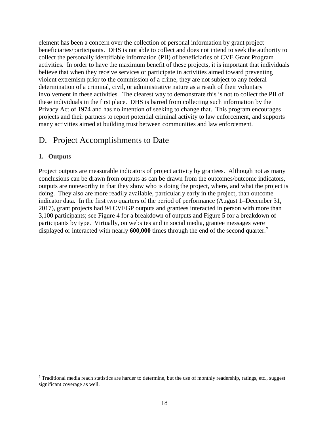element has been a concern over the collection of personal information by grant project beneficiaries/participants. DHS is not able to collect and does not intend to seek the authority to collect the personally identifiable information (PII) of beneficiaries of CVE Grant Program activities. In order to have the maximum benefit of these projects, it is important that individuals believe that when they receive services or participate in activities aimed toward preventing violent extremism prior to the commission of a crime, they are not subject to any federal determination of a criminal, civil, or administrative nature as a result of their voluntary involvement in these activities. The clearest way to demonstrate this is not to collect the PII of these individuals in the first place. DHS is barred from collecting such information by the Privacy Act of 1974 and has no intention of seeking to change that. This program encourages projects and their partners to report potential criminal activity to law enforcement, and supports many activities aimed at building trust between communities and law enforcement.

## <span id="page-22-0"></span>D. Project Accomplishments to Date

#### <span id="page-22-1"></span>**1. Outputs**

Project outputs are measurable indicators of project activity by grantees. Although not as many conclusions can be drawn from outputs as can be drawn from the outcomes/outcome indicators, outputs are noteworthy in that they show who is doing the project, where, and what the project is doing. They also are more readily available, particularly early in the project, than outcome indicator data. In the first two quarters of the period of performance (August 1–December 31, 2017), grant projects had 94 CVEGP outputs and grantees interacted in person with more than 3,100 participants; see Figure 4 for a breakdown of outputs and Figure 5 for a breakdown of participants by type. Virtually, on websites and in social media, grantee messages were displayed or interacted with nearly **600,000** times through the end of the second quarter.[7](#page-22-2)

<span id="page-22-2"></span> $\overline{a}$  $^7$  Traditional media reach statistics are harder to determine, but the use of monthly readership, ratings, etc., suggest significant coverage as well.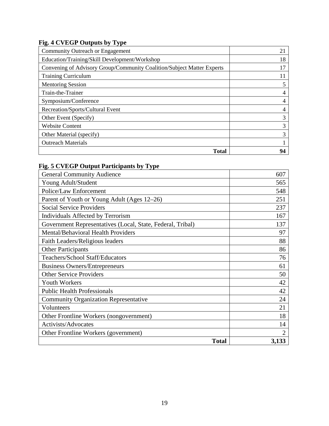## **Fig. 4 CVEGP Outputs by Type**

| Community Outreach or Engagement                                       | 21 |
|------------------------------------------------------------------------|----|
| Education/Training/Skill Development/Workshop                          | 18 |
| Convening of Advisory Group/Community Coalition/Subject Matter Experts | 17 |
| <b>Training Curriculum</b>                                             | 11 |
| <b>Mentoring Session</b>                                               |    |
| Train-the-Trainer                                                      |    |
| Symposium/Conference                                                   |    |
| Recreation/Sports/Cultural Event                                       |    |
| Other Event (Specify)                                                  | 3  |
| <b>Website Content</b>                                                 | 3  |
| Other Material (specify)                                               | 3  |
| <b>Outreach Materials</b>                                              |    |
| Total                                                                  | 94 |

### **Fig. 5 CVEGP Output Participants by Type**

| <b>General Community Audience</b>                          | 607            |
|------------------------------------------------------------|----------------|
| Young Adult/Student                                        | 565            |
| Police/Law Enforcement                                     | 548            |
| Parent of Youth or Young Adult (Ages 12–26)                | 251            |
| <b>Social Service Providers</b>                            | 237            |
| Individuals Affected by Terrorism                          | 167            |
| Government Representatives (Local, State, Federal, Tribal) | 137            |
| Mental/Behavioral Health Providers                         | 97             |
| Faith Leaders/Religious leaders                            | 88             |
| <b>Other Participants</b>                                  | 86             |
| Teachers/School Staff/Educators                            | 76             |
| <b>Business Owners/Entrepreneurs</b>                       | 61             |
| <b>Other Service Providers</b>                             | 50             |
| <b>Youth Workers</b>                                       | 42             |
| <b>Public Health Professionals</b>                         | 42             |
| <b>Community Organization Representative</b>               | 24             |
| Volunteers                                                 | 21             |
| Other Frontline Workers (nongovernment)                    | 18             |
| Activists/Advocates                                        | 14             |
| Other Frontline Workers (government)                       | $\overline{2}$ |
| <b>Total</b>                                               | 3,133          |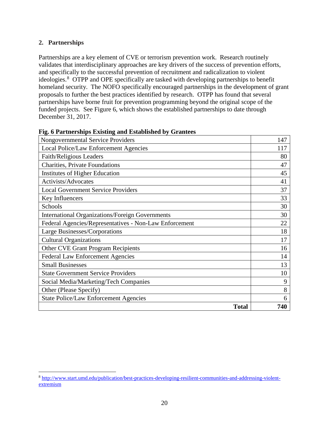#### <span id="page-24-0"></span>**2. Partnerships**

 $\overline{a}$ 

Partnerships are a key element of CVE or terrorism prevention work. Research routinely validates that interdisciplinary approaches are key drivers of the success of prevention efforts, and specifically to the successful prevention of recruitment and radicalization to violent ideologies.<sup>[8](#page-24-1)</sup> OTPP and OPE specifically are tasked with developing partnerships to benefit homeland security. The NOFO specifically encouraged partnerships in the development of grant proposals to further the best practices identified by research. OTPP has found that several partnerships have borne fruit for prevention programming beyond the original scope of the funded projects. See Figure 6, which shows the established partnerships to date through December 31, 2017.

| <b>Nongovernmental Service Providers</b>               | 147 |
|--------------------------------------------------------|-----|
| Local Police/Law Enforcement Agencies                  | 117 |
| Faith/Religious Leaders                                | 80  |
| <b>Charities, Private Foundations</b>                  | 47  |
| Institutes of Higher Education                         | 45  |
| Activists/Advocates                                    | 41  |
| <b>Local Government Service Providers</b>              | 37  |
| Key Influencers                                        | 33  |
| Schools                                                | 30  |
| <b>International Organizations/Foreign Governments</b> | 30  |
| Federal Agencies/Representatives - Non-Law Enforcement | 22  |
| Large Businesses/Corporations                          | 18  |
| <b>Cultural Organizations</b>                          | 17  |
| <b>Other CVE Grant Program Recipients</b>              | 16  |
| <b>Federal Law Enforcement Agencies</b>                | 14  |
| <b>Small Businesses</b>                                | 13  |
| <b>State Government Service Providers</b>              | 10  |
| Social Media/Marketing/Tech Companies                  | 9   |
| Other (Please Specify)                                 | 8   |
| <b>State Police/Law Enforcement Agencies</b>           | 6   |
| <b>Total</b>                                           | 740 |

#### **Fig. 6 Partnerships Existing and Established by Grantees**

<span id="page-24-1"></span><sup>8</sup> [http://www.start.umd.edu/publication/best-practices-developing-resilient-communities-and-addressing-violent](http://www.start.umd.edu/publication/best-practices-developing-resilient-communities-and-addressing-violent-extremism)[extremism](http://www.start.umd.edu/publication/best-practices-developing-resilient-communities-and-addressing-violent-extremism)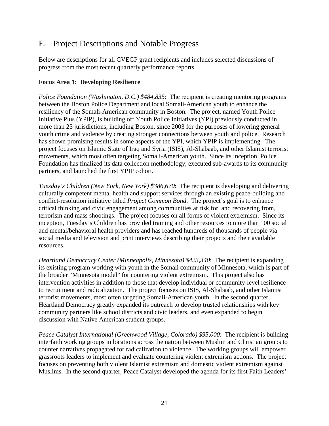## <span id="page-25-0"></span>E. Project Descriptions and Notable Progress

Below are descriptions for all CVEGP grant recipients and includes selected discussions of progress from the most recent quarterly performance reports.

#### <span id="page-25-1"></span>**Focus Area 1: Developing Resilience**

*Police Foundation (Washington, D.C.)* \$484,835: The recipient is creating mentoring programs between the Boston Police Department and local Somali-American youth to enhance the resiliency of the Somali-American community in Boston. The project, named Youth Police Initiative Plus (YPIP), is building off Youth Police Initiatives (YPI) previously conducted in more than 25 jurisdictions, including Boston, since 2003 for the purposes of lowering general youth crime and violence by creating stronger connections between youth and police. Research has shown promising results in some aspects of the YPI, which YPIP is implementing. The project focuses on Islamic State of Iraq and Syria (ISIS), Al-Shabaab, and other Islamist terrorist movements, which most often targeting Somali-American youth. Since its inception, Police Foundation has finalized its data collection methodology, executed sub-awards to its community partners, and launched the first YPIP cohort.

*Tuesday's Children (New York, New York) \$386,670*: The recipient is developing and delivering culturally competent mental health and support services through an existing peace-building and conflict-resolution initiative titled *Project Common Bond*. The project's goal is to enhance critical thinking and civic engagement among communities at risk for, and recovering from, terrorism and mass shootings. The project focuses on all forms of violent extremism. Since its inception, Tuesday's Children has provided training and other resources to more than 100 social and mental/behavioral health providers and has reached hundreds of thousands of people via social media and television and print interviews describing their projects and their available resources.

*Heartland Democracy Center (Minneapolis, Minnesota) \$423,340*: The recipient is expanding its existing program working with youth in the Somali community of Minnesota, which is part of the broader "Minnesota model" for countering violent extremism. This project also has intervention activities in addition to those that develop individual or community-level resilience to recruitment and radicalization. The project focuses on ISIS, Al-Shabaab, and other Islamist terrorist movements, most often targeting Somali-American youth. In the second quarter, Heartland Democracy greatly expanded its outreach to develop trusted relationships with key community partners like school districts and civic leaders, and even expanded to begin discussion with Native American student groups.

*Peace Catalyst International (Greenwood Village, Colorado) \$95,000*: The recipient is building interfaith working groups in locations across the nation between Muslim and Christian groups to counter narratives propagated for radicalization to violence. The working groups will empower grassroots leaders to implement and evaluate countering violent extremism actions. The project focuses on preventing both violent Islamist extremism and domestic violent extremism against Muslims. In the second quarter, Peace Catalyst developed the agenda for its first Faith Leaders'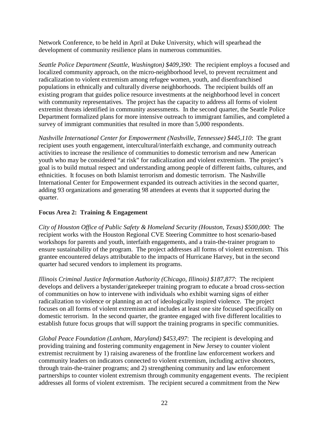Network Conference, to be held in April at Duke University, which will spearhead the development of community resilience plans in numerous communities.

*Seattle Police Department (Seattle, Washington) \$409,390*: The recipient employs a focused and localized community approach, on the micro-neighborhood level, to prevent recruitment and radicalization to violent extremism among refugee women, youth, and disenfranchised populations in ethnically and culturally diverse neighborhoods. The recipient builds off an existing program that guides police resource investments at the neighborhood level in concert with community representatives. The project has the capacity to address all forms of violent extremist threats identified in community assessments. In the second quarter, the Seattle Police Department formalized plans for more intensive outreach to immigrant families, and completed a survey of immigrant communities that resulted in more than 5,000 respondents.

*Nashville International Center for Empowerment (Nashville, Tennessee) \$445,110*: The grant recipient uses youth engagement, intercultural/interfaith exchange, and community outreach activities to increase the resilience of communities to domestic terrorism and new American youth who may be considered "at risk" for radicalization and violent extremism. The project's goal is to build mutual respect and understanding among people of different faiths, cultures, and ethnicities. It focuses on both Islamist terrorism and domestic terrorism. The Nashville International Center for Empowerment expanded its outreach activities in the second quarter, adding 93 organizations and generating 98 attendees at events that it supported during the quarter.

#### <span id="page-26-0"></span>**Focus Area 2: Training & Engagement**

*City of Houston Office of Public Safety & Homeland Security (Houston, Texas) \$500,000*: The recipient works with the Houston Regional CVE Steering Committee to host scenario-based workshops for parents and youth, interfaith engagements, and a train-the-trainer program to ensure sustainability of the program. The project addresses all forms of violent extremism. This grantee encountered delays attributable to the impacts of Hurricane Harvey, but in the second quarter had secured vendors to implement its programs.

*Illinois Criminal Justice Information Authority (Chicago, Illinois) \$187,877*: The recipient develops and delivers a bystander/gatekeeper training program to educate a broad cross-section of communities on how to intervene with individuals who exhibit warning signs of either radicalization to violence or planning an act of ideologically inspired violence. The project focuses on all forms of violent extremism and includes at least one site focused specifically on domestic terrorism. In the second quarter, the grantee engaged with five different localities to establish future focus groups that will support the training programs in specific communities.

*Global Peace Foundation (Lanham, Maryland) \$453,497*: The recipient is developing and providing training and fostering community engagement in New Jersey to counter violent extremist recruitment by 1) raising awareness of the frontline law enforcement workers and community leaders on indicators connected to violent extremism, including active shooters, through train-the-trainer programs; and 2) strengthening community and law enforcement partnerships to counter violent extremism through community engagement events. The recipient addresses all forms of violent extremism. The recipient secured a commitment from the New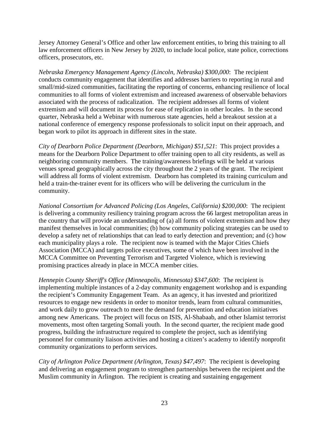Jersey Attorney General's Office and other law enforcement entities, to bring this training to all law enforcement officers in New Jersey by 2020, to include local police, state police, corrections officers, prosecutors, etc.

*Nebraska Emergency Management Agency (Lincoln, Nebraska) \$300,000*: The recipient conducts community engagement that identifies and addresses barriers to reporting in rural and small/mid-sized communities, facilitating the reporting of concerns, enhancing resilience of local communities to all forms of violent extremism and increased awareness of observable behaviors associated with the process of radicalization. The recipient addresses all forms of violent extremism and will document its process for ease of replication in other locales. In the second quarter, Nebraska held a Webinar with numerous state agencies, held a breakout session at a national conference of emergency response professionals to solicit input on their approach, and began work to pilot its approach in different sites in the state.

*City of Dearborn Police Department (Dearborn, Michigan) \$51,521*: This project provides a means for the Dearborn Police Department to offer training open to all city residents, as well as neighboring community members. The training/awareness briefings will be held at various venues spread geographically across the city throughout the 2 years of the grant. The recipient will address all forms of violent extremism. Dearborn has completed its training curriculum and held a train-the-trainer event for its officers who will be delivering the curriculum in the community.

*National Consortium for Advanced Policing (Los Angeles, California) \$200,000*: The recipient is delivering a community resiliency training program across the 66 largest metropolitan areas in the country that will provide an understanding of (a) all forms of violent extremism and how they manifest themselves in local communities; (b) how community policing strategies can be used to develop a safety net of relationships that can lead to early detection and prevention; and (c) how each municipality plays a role. The recipient now is teamed with the Major Cities Chiefs Association (MCCA) and targets police executives, some of which have been involved in the MCCA Committee on Preventing Terrorism and Targeted Violence, which is reviewing promising practices already in place in MCCA member cities.

*Hennepin County Sheriff's Office (Minneapolis, Minnesota) \$347,600*: The recipient is implementing multiple instances of a 2-day community engagement workshop and is expanding the recipient's Community Engagement Team. As an agency, it has invested and prioritized resources to engage new residents in order to monitor trends, learn from cultural communities, and work daily to grow outreach to meet the demand for prevention and education initiatives among new Americans. The project will focus on ISIS, Al-Shabaab, and other Islamist terrorist movements, most often targeting Somali youth. In the second quarter, the recipient made good progress, building the infrastructure required to complete the project, such as identifying personnel for community liaison activities and hosting a citizen's academy to identify nonprofit community organizations to perform services.

*City of Arlington Police Department (Arlington, Texas) \$47,497*: The recipient is developing and delivering an engagement program to strengthen partnerships between the recipient and the Muslim community in Arlington. The recipient is creating and sustaining engagement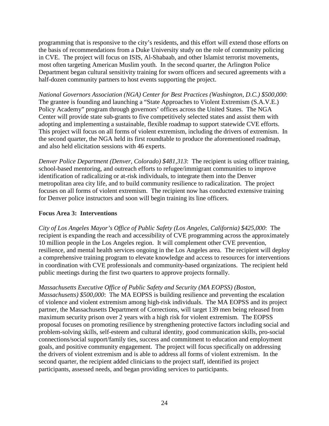programming that is responsive to the city's residents, and this effort will extend those efforts on the basis of recommendations from a Duke University study on the role of community policing in CVE. The project will focus on ISIS, Al-Shabaab, and other Islamist terrorist movements, most often targeting American Muslim youth. In the second quarter, the Arlington Police Department began cultural sensitivity training for sworn officers and secured agreements with a half-dozen community partners to host events supporting the project.

*National Governors Association (NGA) Center for Best Practices (Washington, D.C.) \$500,000*: The grantee is founding and launching a "State Approaches to Violent Extremism (S.A.V.E.) Policy Academy" program through governors' offices across the United States. The NGA Center will provide state sub-grants to five competitively selected states and assist them with adopting and implementing a sustainable, flexible roadmap to support statewide CVE efforts. This project will focus on all forms of violent extremism, including the drivers of extremism. In the second quarter, the NGA held its first roundtable to produce the aforementioned roadmap, and also held elicitation sessions with 46 experts.

*Denver Police Department (Denver, Colorado) \$481,313*: The recipient is using officer training, school-based mentoring, and outreach efforts to refugee/immigrant communities to improve identification of radicalizing or at-risk individuals, to integrate them into the Denver metropolitan area city life, and to build community resilience to radicalization. The project focuses on all forms of violent extremism. The recipient now has conducted extensive training for Denver police instructors and soon will begin training its line officers.

#### <span id="page-28-0"></span>**Focus Area 3: Interventions**

*City of Los Angeles Mayor's Office of Public Safety (Los Angeles, California) \$425,000*: The recipient is expanding the reach and accessibility of CVE programming across the approximately 10 million people in the Los Angeles region. It will complement other CVE prevention, resilience, and mental health services ongoing in the Los Angeles area. The recipient will deploy a comprehensive training program to elevate knowledge and access to resources for interventions in coordination with CVE professionals and community-based organizations. The recipient held public meetings during the first two quarters to approve projects formally.

*Massachusetts Executive Office of Public Safety and Security (MA EOPSS) (Boston, Massachusetts) \$500,000*: The MA EOPSS is building resilience and preventing the escalation of violence and violent extremism among high-risk individuals. The MA EOPSS and its project partner, the Massachusetts Department of Corrections, will target 139 men being released from maximum security prison over 2 years with a high risk for violent extremism. The EOPSS proposal focuses on promoting resilience by strengthening protective factors including social and problem-solving skills, self-esteem and cultural identity, good communication skills, pro-social connections/social support/family ties, success and commitment to education and employment goals, and positive community engagement. The project will focus specifically on addressing the drivers of violent extremism and is able to address all forms of violent extremism. In the second quarter, the recipient added clinicians to the project staff, identified its project

participants, assessed needs, and began providing services to participants.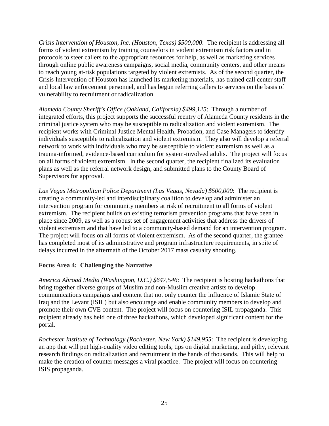*Crisis Intervention of Houston, Inc. (Houston, Texas) \$500,000*: The recipient is addressing all forms of violent extremism by training counselors in violent extremism risk factors and in protocols to steer callers to the appropriate resources for help, as well as marketing services through online public awareness campaigns, social media, community centers, and other means to reach young at-risk populations targeted by violent extremists. As of the second quarter, the Crisis Intervention of Houston has launched its marketing materials, has trained call center staff and local law enforcement personnel, and has begun referring callers to services on the basis of vulnerability to recruitment or radicalization.

*Alameda County Sheriff's Office (Oakland, California) \$499,125*: Through a number of integrated efforts, this project supports the successful reentry of Alameda County residents in the criminal justice system who may be susceptible to radicalization and violent extremism. The recipient works with Criminal Justice Mental Health, Probation, and Case Managers to identify individuals susceptible to radicalization and violent extremism. They also will develop a referral network to work with individuals who may be susceptible to violent extremism as well as a trauma-informed, evidence-based curriculum for system-involved adults. The project will focus on all forms of violent extremism. In the second quarter, the recipient finalized its evaluation plans as well as the referral network design, and submitted plans to the County Board of Supervisors for approval.

*Las Vegas Metropolitan Police Department (Las Vegas, Nevada) \$500,000*: The recipient is creating a community-led and interdisciplinary coalition to develop and administer an intervention program for community members at risk of recruitment to all forms of violent extremism. The recipient builds on existing terrorism prevention programs that have been in place since 2009, as well as a robust set of engagement activities that address the drivers of violent extremism and that have led to a community-based demand for an intervention program. The project will focus on all forms of violent extremism. As of the second quarter, the grantee has completed most of its administrative and program infrastructure requirements, in spite of delays incurred in the aftermath of the October 2017 mass casualty shooting.

#### <span id="page-29-0"></span>**Focus Area 4: Challenging the Narrative**

*America Abroad Media (Washington, D.C.) \$647,546*: The recipient is hosting hackathons that bring together diverse groups of Muslim and non-Muslim creative artists to develop communications campaigns and content that not only counter the influence of Islamic State of Iraq and the Levant (ISIL) but also encourage and enable community members to develop and promote their own CVE content. The project will focus on countering ISIL propaganda. This recipient already has held one of three hackathons, which developed significant content for the portal.

*Rochester Institute of Technology (Rochester, New York) \$149,955*: The recipient is developing an app that will put high-quality video editing tools, tips on digital marketing, and pithy, relevant research findings on radicalization and recruitment in the hands of thousands. This will help to make the creation of counter messages a viral practice. The project will focus on countering ISIS propaganda.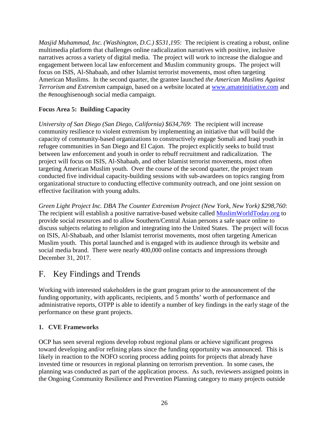*Masjid Muhammad, Inc. (Washington, D.C.) \$531,195*: The recipient is creating a robust, online multimedia platform that challenges online radicalization narratives with positive, inclusive narratives across a variety of digital media. The project will work to increase the dialogue and engagement between local law enforcement and Muslim community groups. The project will focus on ISIS, Al-Shabaab, and other Islamist terrorist movements, most often targeting American Muslims. In the second quarter, the grantee launched *the American Muslims Against Terrorism and Extremism* campaign, based on a website located at [www.amateinitiative.com](http://www.amateinitiative.com/) and the #enoughisenough social media campaign.

#### <span id="page-30-0"></span>**Focus Area 5: Building Capacity**

*University of San Diego (San Diego, California) \$634,769*: The recipient will increase community resilience to violent extremism by implementing an initiative that will build the capacity of community-based organizations to constructively engage Somali and Iraqi youth in refugee communities in San Diego and El Cajon. The project explicitly seeks to build trust between law enforcement and youth in order to rebuff recruitment and radicalization. The project will focus on ISIS, Al-Shabaab, and other Islamist terrorist movements, most often targeting American Muslim youth. Over the course of the second quarter, the project team conducted five individual capacity-building sessions with sub-awardees on topics ranging from organizational structure to conducting effective community outreach, and one joint session on effective facilitation with young adults.

*Green Light Project Inc. DBA The Counter Extremism Project (New York, New York) \$298,760*: The recipient will establish a positive narrative-based website called [MuslimWorldToday.org](https://www.muslimworldtoday.org/) to provide social resources and to allow Southern/Central Asian persons a safe space online to discuss subjects relating to religion and integrating into the United States. The project will focus on ISIS, Al-Shabaab, and other Islamist terrorist movements, most often targeting American Muslim youth. This portal launched and is engaged with its audience through its website and social media brand. There were nearly 400,000 online contacts and impressions through December 31, 2017.

## <span id="page-30-1"></span>F. Key Findings and Trends

Working with interested stakeholders in the grant program prior to the announcement of the funding opportunity, with applicants, recipients, and 5 months' worth of performance and administrative reports, OTPP is able to identify a number of key findings in the early stage of the performance on these grant projects.

#### <span id="page-30-2"></span>**1. CVE Frameworks**

OCP has seen several regions develop robust regional plans or achieve significant progress toward developing and/or refining plans since the funding opportunity was announced. This is likely in reaction to the NOFO scoring process adding points for projects that already have invested time or resources in regional planning on terrorism prevention. In some cases, the planning was conducted as part of the application process. As such, reviewers assigned points in the Ongoing Community Resilience and Prevention Planning category to many projects outside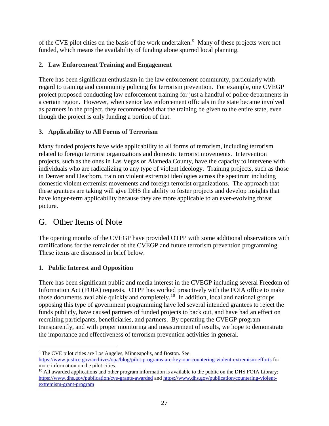of the CVE pilot cities on the basis of the work undertaken.<sup>[9](#page-31-4)</sup> Many of these projects were not funded, which means the availability of funding alone spurred local planning.

#### <span id="page-31-0"></span>**2. Law Enforcement Training and Engagement**

There has been significant enthusiasm in the law enforcement community, particularly with regard to training and community policing for terrorism prevention. For example, one CVEGP project proposed conducting law enforcement training for just a handful of police departments in a certain region. However, when senior law enforcement officials in the state became involved as partners in the project, they recommended that the training be given to the entire state, even though the project is only funding a portion of that.

#### <span id="page-31-1"></span>**3. Applicability to All Forms of Terrorism**

Many funded projects have wide applicability to all forms of terrorism, including terrorism related to foreign terrorist organizations and domestic terrorist movements. Intervention projects, such as the ones in Las Vegas or Alameda County, have the capacity to intervene with individuals who are radicalizing to any type of violent ideology. Training projects, such as those in Denver and Dearborn, train on violent extremist ideologies across the spectrum including domestic violent extremist movements and foreign terrorist organizations. The approach that these grantees are taking will give DHS the ability to foster projects and develop insights that have longer-term applicability because they are more applicable to an ever-evolving threat picture.

## <span id="page-31-2"></span>G. Other Items of Note

The opening months of the CVEGP have provided OTPP with some additional observations with ramifications for the remainder of the CVEGP and future terrorism prevention programming. These items are discussed in brief below.

#### <span id="page-31-3"></span>**1. Public Interest and Opposition**

 $\overline{a}$ 

There has been significant public and media interest in the CVEGP including several Freedom of Information Act (FOIA) requests. OTPP has worked proactively with the FOIA office to make those documents available quickly and completely.<sup>10</sup> In addition, local and national groups opposing this type of government programming have led several intended grantees to reject the funds publicly, have caused partners of funded projects to back out, and have had an effect on recruiting participants, beneficiaries, and partners. By operating the CVEGP program transparently, and with proper monitoring and measurement of results, we hope to demonstrate the importance and effectiveness of terrorism prevention activities in general.

<span id="page-31-4"></span><sup>9</sup> The CVE pilot cities are Los Angeles, Minneapolis, and Boston. See <https://www.justice.gov/archives/opa/blog/pilot-programs-are-key-our-countering-violent-extremism-efforts> for more information on the pilot cities.

<span id="page-31-5"></span><sup>&</sup>lt;sup>10</sup> All awarded applications and other program information is available to the public on the DHS FOIA Library: <https://www.dhs.gov/publication/cve-grants-awarded> and [https://www.dhs.gov/publication/countering-violent](https://www.dhs.gov/publication/countering-violent-extremism-grant-program)[extremism-grant-program](https://www.dhs.gov/publication/countering-violent-extremism-grant-program)